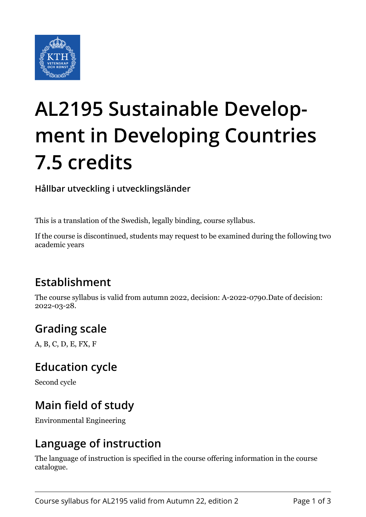

# **AL2195 Sustainable Development in Developing Countries 7.5 credits**

**Hållbar utveckling i utvecklingsländer**

This is a translation of the Swedish, legally binding, course syllabus.

If the course is discontinued, students may request to be examined during the following two academic years

# **Establishment**

The course syllabus is valid from autumn 2022, decision: A-2022-0790.Date of decision: 2022-03-28.

# **Grading scale**

A, B, C, D, E, FX, F

## **Education cycle**

Second cycle

## **Main field of study**

Environmental Engineering

## **Language of instruction**

The language of instruction is specified in the course offering information in the course catalogue.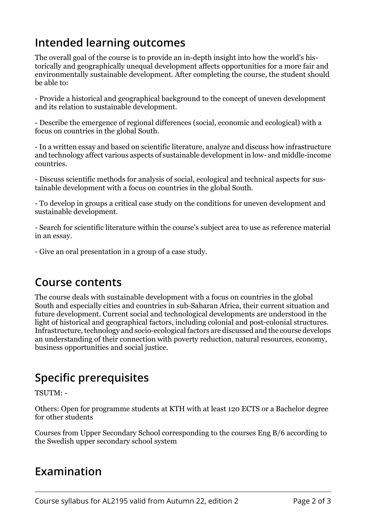## **Intended learning outcomes**

The overall goal of the course is to provide an in-depth insight into how the world's historically and geographically unequal development affects opportunities for a more fair and environmentally sustainable development. After completing the course, the student should be able to:

- Provide a historical and geographical background to the concept of uneven development and its relation to sustainable development.

- Describe the emergence of regional differences (social, economic and ecological) with a focus on countries in the global South.

- In a written essay and based on scientific literature, analyze and discuss how infrastructure and technology affect various aspects of sustainable development in low- and middle-income countries.

- Discuss scientific methods for analysis of social, ecological and technical aspects for sustainable development with a focus on countries in the global South.

- To develop in groups a critical case study on the conditions for uneven development and sustainable development.

- Search for scientific literature within the course's subject area to use as reference material in an essay.

- Give an oral presentation in a group of a case study.

#### **Course contents**

The course deals with sustainable development with a focus on countries in the global South and especially cities and countries in sub-Saharan Africa, their current situation and future development. Current social and technological developments are understood in the light of historical and geographical factors, including colonial and post-colonial structures. Infrastructure, technology and socio-ecological factors are discussed and the course develops an understanding of their connection with poverty reduction, natural resources, economy, business opportunities and social justice.

# **Specific prerequisites**

TSUTM: -

Others: Open for programme students at KTH with at least 120 ECTS or a Bachelor degree for other students

Courses from Upper Secondary School corresponding to the courses Eng B/6 according to the Swedish upper secondary school system

## **Examination**